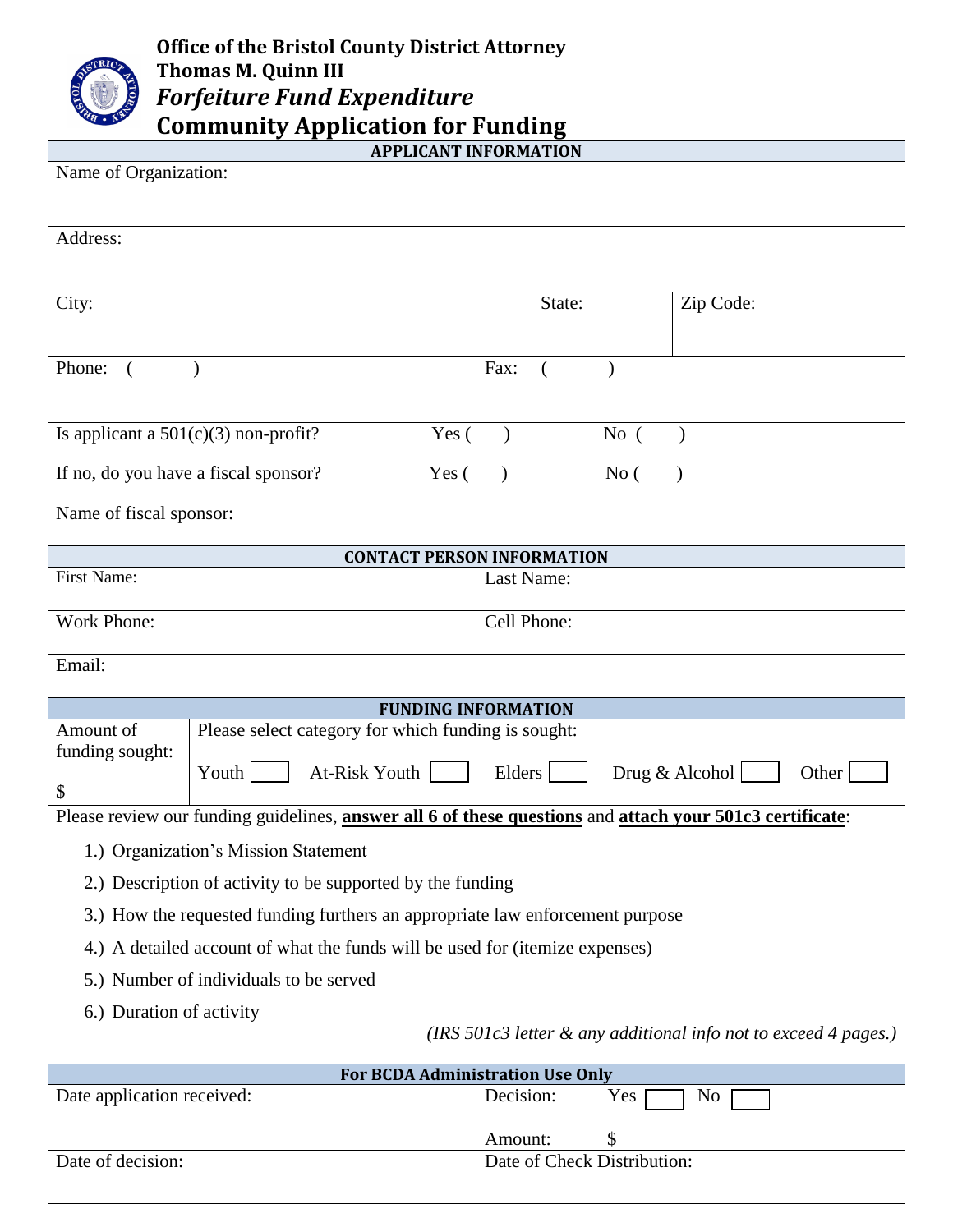| <b>Office of the Bristol County District Attorney</b><br><b>Thomas M. Quinn III</b><br><b>Forfeiture Fund Expenditure</b><br><b>Community Application for Funding</b> |           |        |                                   |           |  |
|-----------------------------------------------------------------------------------------------------------------------------------------------------------------------|-----------|--------|-----------------------------------|-----------|--|
| <b>APPLICANT INFORMATION</b>                                                                                                                                          |           |        |                                   |           |  |
| Name of Organization:                                                                                                                                                 |           |        |                                   |           |  |
| Address:                                                                                                                                                              |           |        |                                   |           |  |
| City:                                                                                                                                                                 |           | State: |                                   | Zip Code: |  |
| Phone:                                                                                                                                                                | Fax:      |        |                                   |           |  |
| Yes (<br>Is applicant a $501(c)(3)$ non-profit?                                                                                                                       |           |        | No(                               |           |  |
| If no, do you have a fiscal sponsor?<br>Yes(                                                                                                                          | $\lambda$ |        | No(                               |           |  |
| Name of fiscal sponsor:                                                                                                                                               |           |        |                                   |           |  |
| <b>CONTACT PERSON INFORMATION</b>                                                                                                                                     |           |        |                                   |           |  |
| <b>First Name:</b><br>Last Name:                                                                                                                                      |           |        |                                   |           |  |
| Work Phone:<br>Cell Phone:                                                                                                                                            |           |        |                                   |           |  |
| Email:                                                                                                                                                                |           |        |                                   |           |  |
| <b>FUNDING INFORMATION</b>                                                                                                                                            |           |        |                                   |           |  |
| Please select category for which funding is sought:<br>Amount of                                                                                                      |           |        |                                   |           |  |
| funding sought:<br>At-Risk Youth<br>Elders<br>Youth<br>Drug & Alcohol<br>Other<br>\$                                                                                  |           |        |                                   |           |  |
| Please review our funding guidelines, answer all 6 of these questions and attach your 501c3 certificate:                                                              |           |        |                                   |           |  |
| 1.) Organization's Mission Statement                                                                                                                                  |           |        |                                   |           |  |
| 2.) Description of activity to be supported by the funding                                                                                                            |           |        |                                   |           |  |
| 3.) How the requested funding furthers an appropriate law enforcement purpose                                                                                         |           |        |                                   |           |  |
| 4.) A detailed account of what the funds will be used for (itemize expenses)                                                                                          |           |        |                                   |           |  |
| 5.) Number of individuals to be served                                                                                                                                |           |        |                                   |           |  |
| 6.) Duration of activity<br>(IRS 501c3 letter & any additional info not to exceed 4 pages.)                                                                           |           |        |                                   |           |  |
| <b>For BCDA Administration Use Only</b>                                                                                                                               |           |        |                                   |           |  |
| Date application received:                                                                                                                                            | Decision: |        | Yes                               | No        |  |
| Date of decision:                                                                                                                                                     | Amount:   |        | \$<br>Date of Check Distribution: |           |  |
|                                                                                                                                                                       |           |        |                                   |           |  |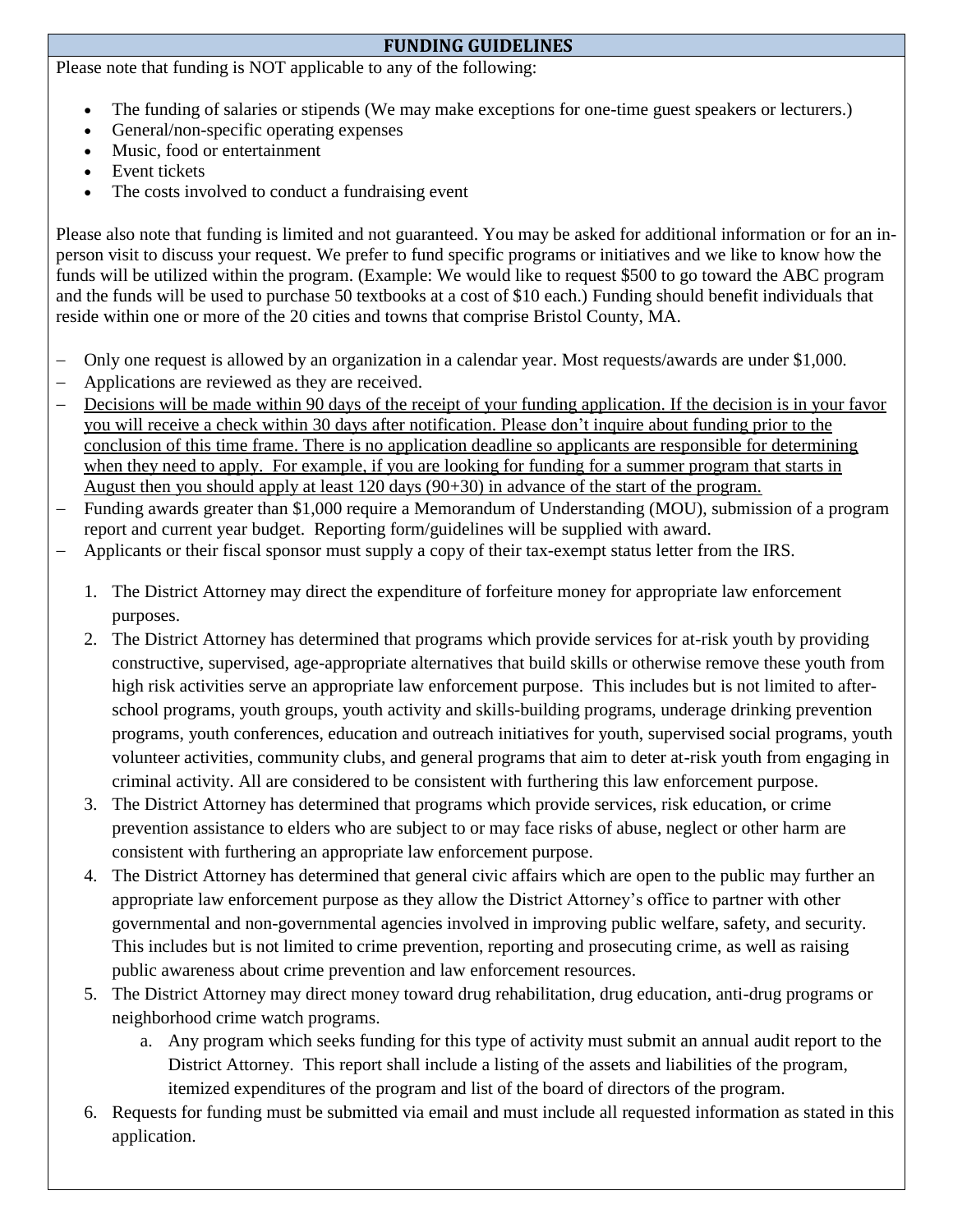## **FUNDING GUIDELINES**

Please note that funding is NOT applicable to any of the following:

- The funding of salaries or stipends (We may make exceptions for one-time guest speakers or lecturers.)
- General/non-specific operating expenses
- Music, food or entertainment
- Event tickets
- The costs involved to conduct a fundraising event

Please also note that funding is limited and not guaranteed. You may be asked for additional information or for an inperson visit to discuss your request. We prefer to fund specific programs or initiatives and we like to know how the funds will be utilized within the program. (Example: We would like to request \$500 to go toward the ABC program and the funds will be used to purchase 50 textbooks at a cost of \$10 each.) Funding should benefit individuals that reside within one or more of the 20 cities and towns that comprise Bristol County, MA.

- Only one request is allowed by an organization in a calendar year. Most requests/awards are under \$1,000.
- Applications are reviewed as they are received.
- Decisions will be made within 90 days of the receipt of your funding application. If the decision is in your favor you will receive a check within 30 days after notification. Please don't inquire about funding prior to the conclusion of this time frame. There is no application deadline so applicants are responsible for determining when they need to apply. For example, if you are looking for funding for a summer program that starts in August then you should apply at least 120 days (90+30) in advance of the start of the program.
- Funding awards greater than \$1,000 require a Memorandum of Understanding (MOU), submission of a program report and current year budget. Reporting form/guidelines will be supplied with award.
- Applicants or their fiscal sponsor must supply a copy of their tax-exempt status letter from the IRS.
	- 1. The District Attorney may direct the expenditure of forfeiture money for appropriate law enforcement purposes.
	- 2. The District Attorney has determined that programs which provide services for at-risk youth by providing constructive, supervised, age-appropriate alternatives that build skills or otherwise remove these youth from high risk activities serve an appropriate law enforcement purpose. This includes but is not limited to afterschool programs, youth groups, youth activity and skills-building programs, underage drinking prevention programs, youth conferences, education and outreach initiatives for youth, supervised social programs, youth volunteer activities, community clubs, and general programs that aim to deter at-risk youth from engaging in criminal activity. All are considered to be consistent with furthering this law enforcement purpose.
	- 3. The District Attorney has determined that programs which provide services, risk education, or crime prevention assistance to elders who are subject to or may face risks of abuse, neglect or other harm are consistent with furthering an appropriate law enforcement purpose.
	- 4. The District Attorney has determined that general civic affairs which are open to the public may further an appropriate law enforcement purpose as they allow the District Attorney's office to partner with other governmental and non-governmental agencies involved in improving public welfare, safety, and security. This includes but is not limited to crime prevention, reporting and prosecuting crime, as well as raising public awareness about crime prevention and law enforcement resources.
	- 5. The District Attorney may direct money toward drug rehabilitation, drug education, anti-drug programs or neighborhood crime watch programs.
		- a. Any program which seeks funding for this type of activity must submit an annual audit report to the District Attorney. This report shall include a listing of the assets and liabilities of the program, itemized expenditures of the program and list of the board of directors of the program.
	- 6. Requests for funding must be submitted via email and must include all requested information as stated in this application.